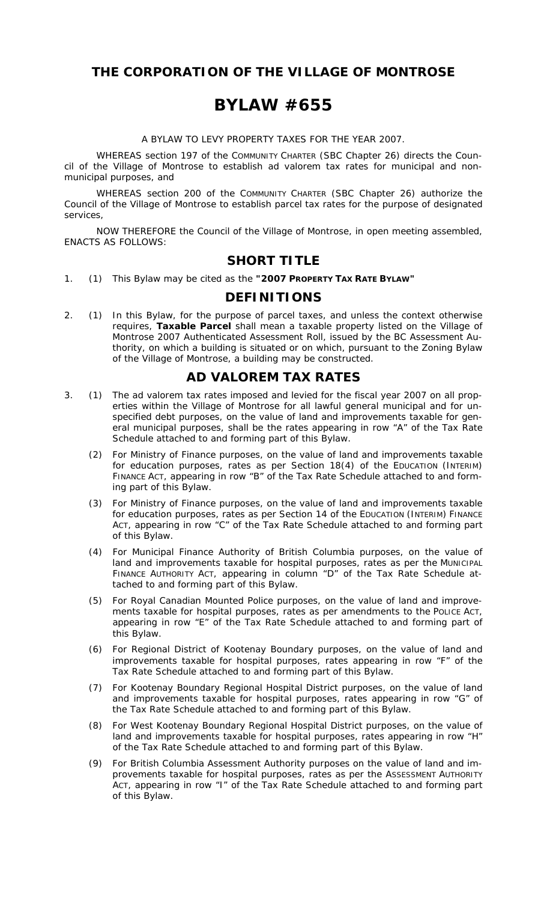**THE CORPORATION OF THE VILLAGE OF MONTROSE** 

## **BYLAW #655**

A BYLAW TO LEVY PROPERTY TAXES FOR THE YEAR 2007.

WHEREAS section 197 of the *COMMUNITY CHARTER* (SBC Chapter 26) directs the Council of the Village of Montrose to establish ad valorem tax rates for municipal and nonmunicipal purposes, and

WHEREAS section 200 of the *COMMUNITY CHARTER* (SBC Chapter 26) authorize the Council of the Village of Montrose to establish parcel tax rates for the purpose of designated services,

NOW THEREFORE the Council of the Village of Montrose, in open meeting assembled, ENACTS AS FOLLOWS:

### **SHORT TITLE**

1. (1) This Bylaw may be cited as the **"2007 PROPERTY TAX RATE BYLAW"**

#### **DEFINITIONS**

2. (1) In this Bylaw, for the purpose of parcel taxes, and unless the context otherwise requires, *Taxable Parcel* shall mean a taxable property listed on the Village of Montrose 2007 Authenticated Assessment Roll, issued by the BC Assessment Authority, on which a building is situated or on which, pursuant to the Zoning Bylaw of the Village of Montrose, a building may be constructed.

### **AD VALOREM TAX RATES**

- 3. (1) The ad valorem tax rates imposed and levied for the fiscal year 2007 on all properties within the Village of Montrose for all lawful general municipal and for unspecified debt purposes, on the value of land and improvements taxable for general municipal purposes, shall be the rates appearing in row "A" of the Tax Rate Schedule attached to and forming part of this Bylaw.
	- (2) For Ministry of Finance purposes, on the value of land and improvements taxable for education purposes, rates as per Section 18(4) of the *EDUCATION (INTERIM) FINANCE ACT,* appearing in row "B" of the Tax Rate Schedule attached to and forming part of this Bylaw.
	- (3) For Ministry of Finance purposes, on the value of land and improvements taxable for education purposes, rates as per Section 14 of the *EDUCATION (INTERIM) FINANCE ACT,* appearing in row "C" of the Tax Rate Schedule attached to and forming part of this Bylaw.
	- (4) For Municipal Finance Authority of British Columbia purposes, on the value of land and improvements taxable for hospital purposes, rates as per the *MUNICIPAL FINANCE AUTHORITY ACT,* appearing in column "D" of the Tax Rate Schedule attached to and forming part of this Bylaw.
	- (5) For Royal Canadian Mounted Police purposes, on the value of land and improvements taxable for hospital purposes, rates as per amendments to the *POLICE ACT,* appearing in row "E" of the Tax Rate Schedule attached to and forming part of this Bylaw.
	- (6) For Regional District of Kootenay Boundary purposes, on the value of land and improvements taxable for hospital purposes, rates appearing in row "F" of the Tax Rate Schedule attached to and forming part of this Bylaw.
	- (7) For Kootenay Boundary Regional Hospital District purposes, on the value of land and improvements taxable for hospital purposes, rates appearing in row "G" of the Tax Rate Schedule attached to and forming part of this Bylaw.
	- (8) For West Kootenay Boundary Regional Hospital District purposes, on the value of land and improvements taxable for hospital purposes, rates appearing in row "H" of the Tax Rate Schedule attached to and forming part of this Bylaw.
	- (9) For British Columbia Assessment Authority purposes on the value of land and improvements taxable for hospital purposes, rates as per the *ASSESSMENT AUTHORITY ACT,* appearing in row "I" of the Tax Rate Schedule attached to and forming part of this Bylaw.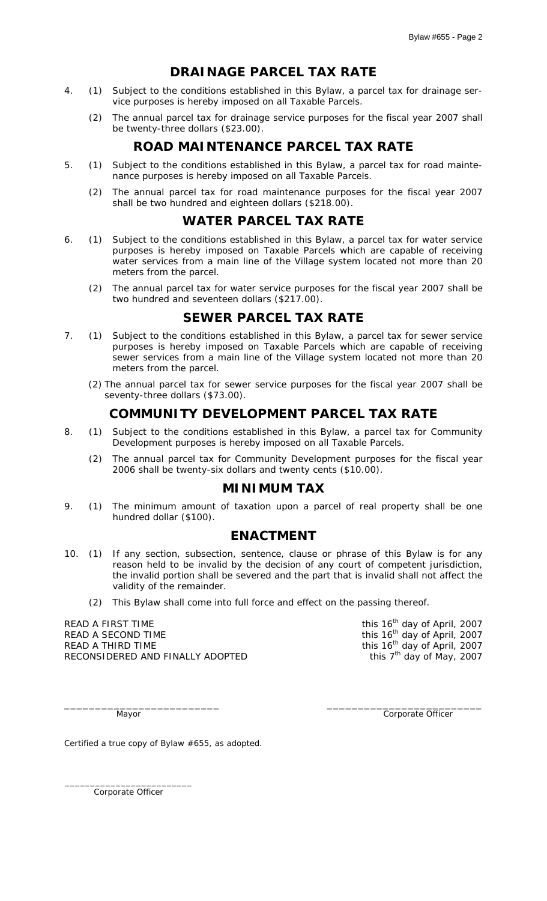## **DRAINAGE PARCEL TAX RATE**

- 4. (1) Subject to the conditions established in this Bylaw, a parcel tax for drainage service purposes is hereby imposed on all Taxable Parcels.
	- (2) The annual parcel tax for drainage service purposes for the fiscal year 2007 shall be twenty-three dollars (\$23.00).

### **ROAD MAINTENANCE PARCEL TAX RATE**

- 5. (1) Subject to the conditions established in this Bylaw, a parcel tax for road maintenance purposes is hereby imposed on all Taxable Parcels.
	- (2) The annual parcel tax for road maintenance purposes for the fiscal year 2007 shall be two hundred and eighteen dollars (\$218.00).

#### **WATER PARCEL TAX RATE**

- 6. (1) Subject to the conditions established in this Bylaw, a parcel tax for water service purposes is hereby imposed on Taxable Parcels which are capable of receiving water services from a main line of the Village system located not more than 20 meters from the parcel.
	- (2) The annual parcel tax for water service purposes for the fiscal year 2007 shall be two hundred and seventeen dollars (\$217.00).

## **SEWER PARCEL TAX RATE**

- 7. (1) Subject to the conditions established in this Bylaw, a parcel tax for sewer service purposes is hereby imposed on Taxable Parcels which are capable of receiving sewer services from a main line of the Village system located not more than 20 meters from the parcel.
	- (2) The annual parcel tax for sewer service purposes for the fiscal year 2007 shall be seventy-three dollars (\$73.00).

## **COMMUNITY DEVELOPMENT PARCEL TAX RATE**

- 8. (1) Subject to the conditions established in this Bylaw, a parcel tax for Community Development purposes is hereby imposed on all Taxable Parcels.
	- (2) The annual parcel tax for Community Development purposes for the fiscal year 2006 shall be twenty-six dollars and twenty cents (\$10.00).

### **MINIMUM TAX**

9. (1) The minimum amount of taxation upon a parcel of real property shall be one hundred dollar (\$100).

#### **ENACTMENT**

10. (1) If any section, subsection, sentence, clause or phrase of this Bylaw is for any reason held to be invalid by the decision of any court of competent jurisdiction, the invalid portion shall be severed and the part that is invalid shall not affect the validity of the remainder.

\_\_\_\_\_\_\_\_\_\_\_\_\_\_\_\_\_\_\_\_\_\_\_\_\_ \_\_\_\_\_\_\_\_\_\_\_\_\_\_\_\_\_\_\_\_\_\_\_\_\_

(2) This Bylaw shall come into full force and effect on the passing thereof.

READ A FIRST TIME  $t^{\text{th}}$  day of April, 2007 READ A SECOND TIME this 16<sup>th</sup> day of April, 2007 READ A THIRD TIME TRIME THIS SERIES TO MALLY ADOPTED THE TO MAKE THE TO THE TO THE RECONSIDERED AND FINALLY ADOPTED RECONSIDERED AND FINALLY ADOPTED

Mayor **Community** Composite Officer **Community** Community Community Community Community Community Community Community Community Community Community Community Community Community Community Community Community Community Comm

Certified a true copy of Bylaw #655, as adopted.

\_\_\_\_\_\_\_\_\_\_\_\_\_\_\_\_\_\_\_\_\_\_\_\_\_ Corporate Officer